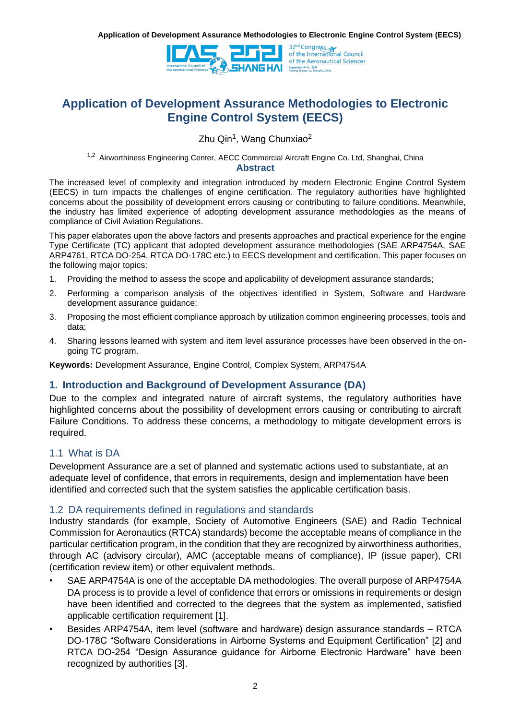

Zhu Qin<sup>1</sup>, Wang Chunxiao<sup>2</sup>

<sup>1,2</sup> Airworthiness Engineering Center, AECC Commercial Aircraft Engine Co. Ltd, Shanghai, China

#### **Abstract**

The increased level of complexity and integration introduced by modern Electronic Engine Control System (EECS) in turn impacts the challenges of engine certification. The regulatory authorities have highlighted concerns about the possibility of development errors causing or contributing to failure conditions. Meanwhile, the industry has limited experience of adopting development assurance methodologies as the means of compliance of Civil Aviation Regulations.

This paper elaborates upon the above factors and presents approaches and practical experience for the engine Type Certificate (TC) applicant that adopted development assurance methodologies (SAE ARP4754A, SAE ARP4761, RTCA DO-254, RTCA DO-178C etc.) to EECS development and certification. This paper focuses on the following major topics:

- 1. Providing the method to assess the scope and applicability of development assurance standards;
- 2. Performing a comparison analysis of the objectives identified in System, Software and Hardware development assurance guidance;
- 3. Proposing the most efficient compliance approach by utilization common engineering processes, tools and data;
- 4. Sharing lessons learned with system and item level assurance processes have been observed in the ongoing TC program.

**Keywords:** Development Assurance, Engine Control, Complex System, ARP4754A

#### **1. Introduction and Background of Development Assurance (DA)**

Due to the complex and integrated nature of aircraft systems, the regulatory authorities have highlighted concerns about the possibility of development errors causing or contributing to aircraft Failure Conditions. To address these concerns, a methodology to mitigate development errors is required.

#### 1.1 What is DA

Development Assurance are a set of planned and systematic actions used to substantiate, at an adequate level of confidence, that errors in requirements, design and implementation have been identified and corrected such that the system satisfies the applicable certification basis.

#### 1.2 DA requirements defined in regulations and standards

Industry standards (for example, Society of Automotive Engineers (SAE) and Radio Technical Commission for Aeronautics (RTCA) standards) become the acceptable means of compliance in the particular certification program, in the condition that they are recognized by airworthiness authorities, through AC (advisory circular), AMC (acceptable means of compliance), IP (issue paper), CRI (certification review item) or other equivalent methods.

- SAE ARP4754A is one of the acceptable DA methodologies. The overall purpose of ARP4754A DA process is to provide a level of confidence that errors or omissions in requirements or design have been identified and corrected to the degrees that the system as implemented, satisfied applicable certification requirement [1].
- Besides ARP4754A, item level (software and hardware) design assurance standards RTCA DO-178C "Software Considerations in Airborne Systems and Equipment Certification" [2] and RTCA DO-254 "Design Assurance guidance for Airborne Electronic Hardware" have been recognized by authorities [3].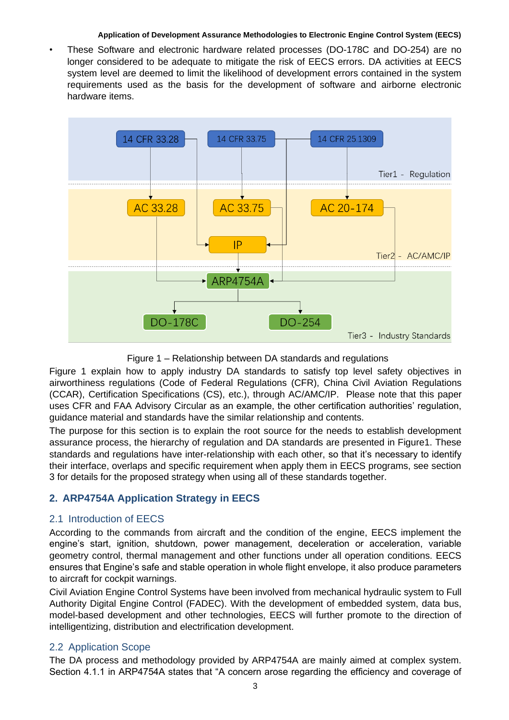• These Software and electronic hardware related processes (DO-178C and DO-254) are no longer considered to be adequate to mitigate the risk of EECS errors. DA activities at EECS system level are deemed to limit the likelihood of development errors contained in the system requirements used as the basis for the development of software and airborne electronic hardware items.



Figure 1 – Relationship between DA standards and regulations

Figure 1 explain how to apply industry DA standards to satisfy top level safety objectives in airworthiness regulations (Code of Federal Regulations (CFR), China Civil Aviation Regulations (CCAR), Certification Specifications (CS), etc.), through AC/AMC/IP. Please note that this paper uses CFR and FAA Advisory Circular as an example, the other certification authorities' regulation, guidance material and standards have the similar relationship and contents.

The purpose for this section is to explain the root source for the needs to establish development assurance process, the hierarchy of regulation and DA standards are presented in Figure1. These standards and regulations have inter-relationship with each other, so that it's necessary to identify their interface, overlaps and specific requirement when apply them in EECS programs, see section 3 for details for the proposed strategy when using all of these standards together.

# **2. ARP4754A Application Strategy in EECS**

## 2.1 Introduction of EECS

According to the commands from aircraft and the condition of the engine, EECS implement the engine's start, ignition, shutdown, power management, deceleration or acceleration, variable geometry control, thermal management and other functions under all operation conditions. EECS ensures that Engine's safe and stable operation in whole flight envelope, it also produce parameters to aircraft for cockpit warnings.

Civil Aviation Engine Control Systems have been involved from mechanical hydraulic system to Full Authority Digital Engine Control (FADEC). With the development of embedded system, data bus, model-based development and other technologies, EECS will further promote to the direction of intelligentizing, distribution and electrification development.

## 2.2 Application Scope

The DA process and methodology provided by ARP4754A are mainly aimed at complex system. Section 4.1.1 in ARP4754A states that "A concern arose regarding the efficiency and coverage of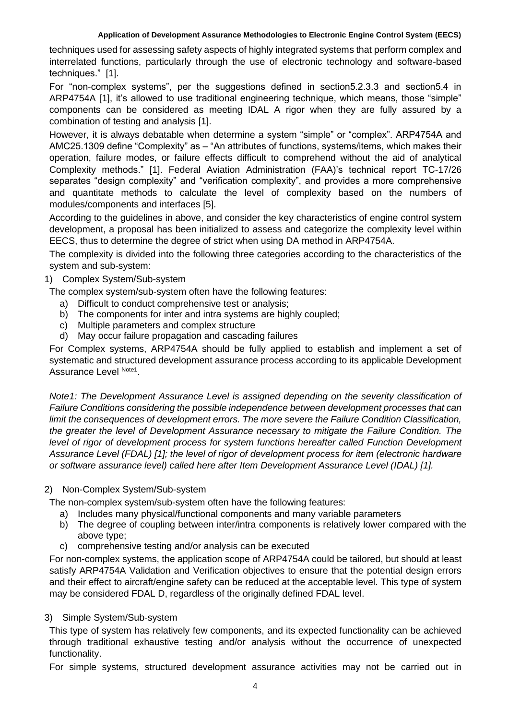techniques used for assessing safety aspects of highly integrated systems that perform complex and interrelated functions, particularly through the use of electronic technology and software-based techniques." [1].

For "non-complex systems", per the suggestions defined in section5.2.3.3 and section5.4 in ARP4754A [1], it's allowed to use traditional engineering technique, which means, those "simple" components can be considered as meeting IDAL A rigor when they are fully assured by a combination of testing and analysis [1].

However, it is always debatable when determine a system "simple" or "complex". ARP4754A and AMC25.1309 define "Complexity" as – "An attributes of functions, systems/items, which makes their operation, failure modes, or failure effects difficult to comprehend without the aid of analytical Complexity methods." [1]. Federal Aviation Administration (FAA)'s technical report TC-17/26 separates "design complexity" and "verification complexity", and provides a more comprehensive and quantitate methods to calculate the level of complexity based on the numbers of modules/components and interfaces [5].

According to the guidelines in above, and consider the key characteristics of engine control system development, a proposal has been initialized to assess and categorize the complexity level within EECS, thus to determine the degree of strict when using DA method in ARP4754A.

The complexity is divided into the following three categories according to the characteristics of the system and sub-system:

#### 1) Complex System/Sub-system

The complex system/sub-system often have the following features:

- a) Difficult to conduct comprehensive test or analysis;
- b) The components for inter and intra systems are highly coupled;
- c) Multiple parameters and complex structure
- d) May occur failure propagation and cascading failures

For Complex systems, ARP4754A should be fully applied to establish and implement a set of systematic and structured development assurance process according to its applicable Development Assurance Level Note1.

*Note1: The Development Assurance Level is assigned depending on the severity classification of Failure Conditions considering the possible independence between development processes that can limit the consequences of development errors. The more severe the Failure Condition Classification, the greater the level of Development Assurance necessary to mitigate the Failure Condition. The level of rigor of development process for system functions hereafter called Function Development Assurance Level (FDAL) [1]; the level of rigor of development process for item (electronic hardware or software assurance level) called here after Item Development Assurance Level (IDAL) [1].*

#### 2) Non-Complex System/Sub-system

The non-complex system/sub-system often have the following features:

- a) Includes many physical/functional components and many variable parameters
- b) The degree of coupling between inter/intra components is relatively lower compared with the above type;
- c) comprehensive testing and/or analysis can be executed

For non-complex systems, the application scope of ARP4754A could be tailored, but should at least satisfy ARP4754A Validation and Verification objectives to ensure that the potential design errors and their effect to aircraft/engine safety can be reduced at the acceptable level. This type of system may be considered FDAL D, regardless of the originally defined FDAL level.

### 3) Simple System/Sub-system

This type of system has relatively few components, and its expected functionality can be achieved through traditional exhaustive testing and/or analysis without the occurrence of unexpected functionality.

For simple systems, structured development assurance activities may not be carried out in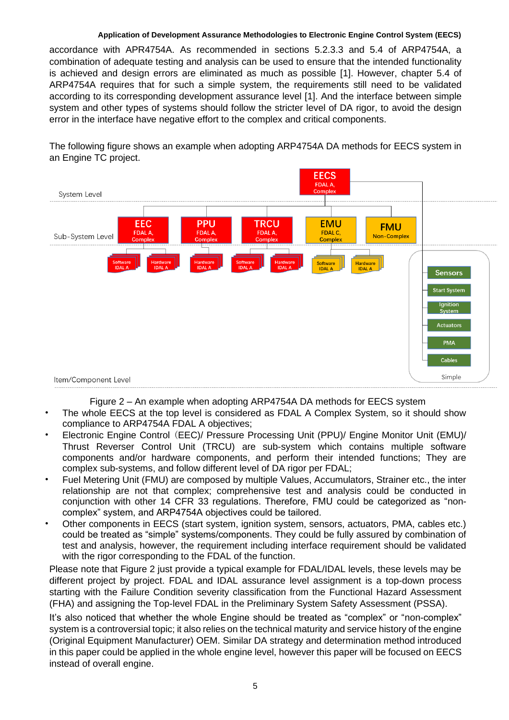accordance with APR4754A. As recommended in sections 5.2.3.3 and 5.4 of ARP4754A, a combination of adequate testing and analysis can be used to ensure that the intended functionality is achieved and design errors are eliminated as much as possible [1]. However, chapter 5.4 of ARP4754A requires that for such a simple system, the requirements still need to be validated according to its corresponding development assurance level [1]. And the interface between simple system and other types of systems should follow the stricter level of DA rigor, to avoid the design error in the interface have negative effort to the complex and critical components.

The following figure shows an example when adopting ARP4754A DA methods for EECS system in an Engine TC project.



Figure 2 – An example when adopting ARP4754A DA methods for EECS system

- The whole EECS at the top level is considered as FDAL A Complex System, so it should show compliance to ARP4754A FDAL A objectives;
- Electronic Engine Control (EEC)/ Pressure Processing Unit (PPU)/ Engine Monitor Unit (EMU)/ Thrust Reverser Control Unit (TRCU) are sub-system which contains multiple software components and/or hardware components, and perform their intended functions; They are complex sub-systems, and follow different level of DA rigor per FDAL;
- Fuel Metering Unit (FMU) are composed by multiple Values, Accumulators, Strainer etc., the inter relationship are not that complex; comprehensive test and analysis could be conducted in conjunction with other 14 CFR 33 regulations. Therefore, FMU could be categorized as "noncomplex" system, and ARP4754A objectives could be tailored.
- Other components in EECS (start system, ignition system, sensors, actuators, PMA, cables etc.) could be treated as "simple" systems/components. They could be fully assured by combination of test and analysis, however, the requirement including interface requirement should be validated with the rigor corresponding to the FDAL of the function.

Please note that Figure 2 just provide a typical example for FDAL/IDAL levels, these levels may be different project by project. FDAL and IDAL assurance level assignment is a top-down process starting with the Failure Condition severity classification from the Functional Hazard Assessment (FHA) and assigning the Top-level FDAL in the Preliminary System Safety Assessment (PSSA).

It's also noticed that whether the whole Engine should be treated as "complex" or "non-complex" system is a controversial topic; it also relies on the technical maturity and service history of the engine (Original Equipment Manufacturer) OEM. Similar DA strategy and determination method introduced in this paper could be applied in the whole engine level, however this paper will be focused on EECS instead of overall engine.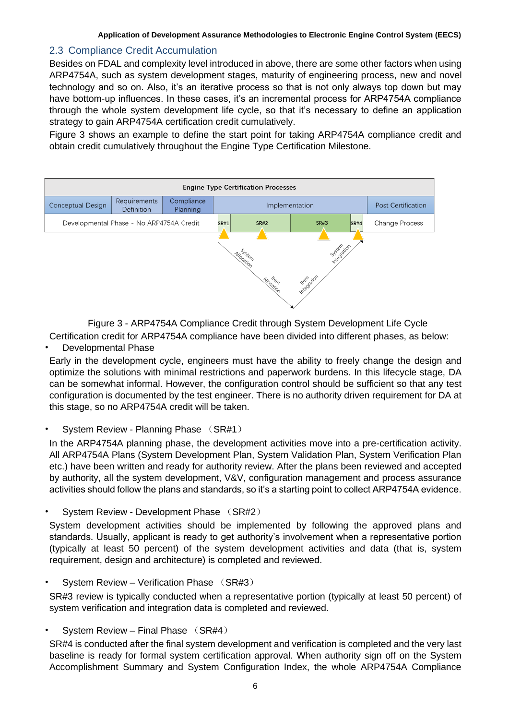## 2.3 Compliance Credit Accumulation

Besides on FDAL and complexity level introduced in above, there are some other factors when using ARP4754A, such as system development stages, maturity of engineering process, new and novel technology and so on. Also, it's an iterative process so that is not only always top down but may have bottom-up influences. In these cases, it's an incremental process for ARP4754A compliance through the whole system development life cycle, so that it's necessary to define an application strategy to gain ARP4754A certification credit cumulatively.

Figure 3 shows an example to define the start point for taking ARP4754A compliance credit and obtain credit cumulatively throughout the Engine Type Certification Milestone.



Figure 3 - ARP4754A Compliance Credit through System Development Life Cycle

Certification credit for ARP4754A compliance have been divided into different phases, as below:

#### • Developmental Phase

Early in the development cycle, engineers must have the ability to freely change the design and optimize the solutions with minimal restrictions and paperwork burdens. In this lifecycle stage, DA can be somewhat informal. However, the configuration control should be sufficient so that any test configuration is documented by the test engineer. There is no authority driven requirement for DA at this stage, so no ARP4754A credit will be taken.

#### • System Review - Planning Phase (SR#1)

In the ARP4754A planning phase, the development activities move into a pre-certification activity. All ARP4754A Plans (System Development Plan, System Validation Plan, System Verification Plan etc.) have been written and ready for authority review. After the plans been reviewed and accepted by authority, all the system development, V&V, configuration management and process assurance activities should follow the plans and standards, so it's a starting point to collect ARP4754A evidence.

• System Review - Development Phase (SR#2)

System development activities should be implemented by following the approved plans and standards. Usually, applicant is ready to get authority's involvement when a representative portion (typically at least 50 percent) of the system development activities and data (that is, system requirement, design and architecture) is completed and reviewed.

#### • System Review – Verification Phase (SR#3)

SR#3 review is typically conducted when a representative portion (typically at least 50 percent) of system verification and integration data is completed and reviewed.

#### • System Review – Final Phase (SR#4)

SR#4 is conducted after the final system development and verification is completed and the very last baseline is ready for formal system certification approval. When authority sign off on the System Accomplishment Summary and System Configuration Index, the whole ARP4754A Compliance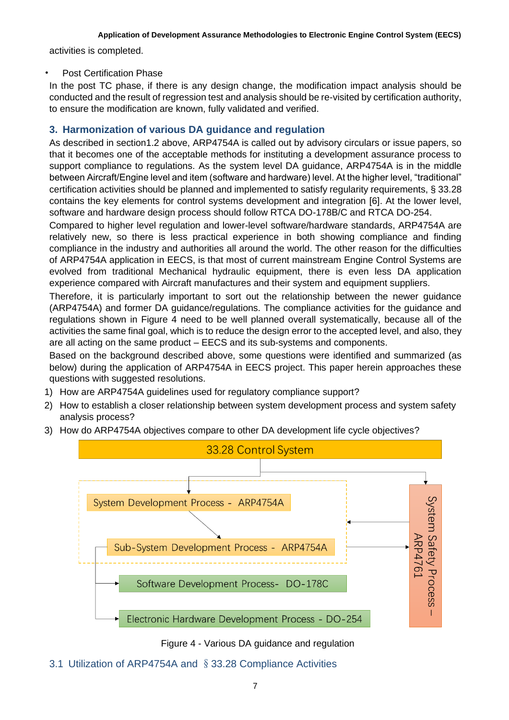activities is completed.

### Post Certification Phase

In the post TC phase, if there is any design change, the modification impact analysis should be conducted and the result of regression test and analysis should be re-visited by certification authority, to ensure the modification are known, fully validated and verified.

# **3. Harmonization of various DA guidance and regulation**

As described in section1.2 above, ARP4754A is called out by advisory circulars or issue papers, so that it becomes one of the acceptable methods for instituting a development assurance process to support compliance to regulations. As the system level DA guidance, ARP4754A is in the middle between Aircraft/Engine level and item (software and hardware) level. At the higher level, "traditional" certification activities should be planned and implemented to satisfy regularity requirements, § 33.28 contains the key elements for control systems development and integration [6]. At the lower level, software and hardware design process should follow RTCA DO-178B/C and RTCA DO-254.

Compared to higher level regulation and lower-level software/hardware standards, ARP4754A are relatively new, so there is less practical experience in both showing compliance and finding compliance in the industry and authorities all around the world. The other reason for the difficulties of ARP4754A application in EECS, is that most of current mainstream Engine Control Systems are evolved from traditional Mechanical hydraulic equipment, there is even less DA application experience compared with Aircraft manufactures and their system and equipment suppliers.

Therefore, it is particularly important to sort out the relationship between the newer guidance (ARP4754A) and former DA guidance/regulations. The compliance activities for the guidance and regulations shown in Figure 4 need to be well planned overall systematically, because all of the activities the same final goal, which is to reduce the design error to the accepted level, and also, they are all acting on the same product – EECS and its sub-systems and components.

Based on the background described above, some questions were identified and summarized (as below) during the application of ARP4754A in EECS project. This paper herein approaches these questions with suggested resolutions.

- 1) How are ARP4754A guidelines used for regulatory compliance support?
- 2) How to establish a closer relationship between system development process and system safety analysis process?
- 3) How do ARP4754A objectives compare to other DA development life cycle objectives?



Figure 4 - Various DA guidance and regulation

3.1 Utilization of ARP4754A and §33.28 Compliance Activities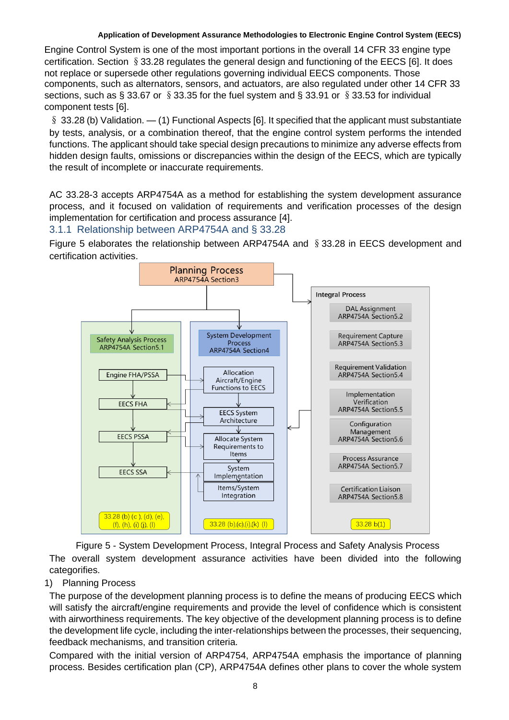Engine Control System is one of the most important portions in the overall 14 CFR 33 engine type certification. Section §33.28 regulates the general design and functioning of the EECS [6]. It does not replace or supersede other regulations governing individual EECS components. Those components, such as alternators, sensors, and actuators, are also regulated under other 14 CFR 33 sections, such as § 33.67 or § 33.35 for the fuel system and § 33.91 or § 33.53 for individual component tests [6].

§ 33.28 (b) Validation. — (1) Functional Aspects [6]. It specified that the applicant must substantiate by tests, analysis, or a combination thereof, that the engine control system performs the intended functions. The applicant should take special design precautions to minimize any adverse effects from hidden design faults, omissions or discrepancies within the design of the EECS, which are typically the result of incomplete or inaccurate requirements.

AC 33.28-3 accepts ARP4754A as a method for establishing the system development assurance process, and it focused on validation of requirements and verification processes of the design implementation for certification and process assurance [4].

## 3.1.1 Relationship between ARP4754A and § 33.28

Figure 5 elaborates the relationship between ARP4754A and §33.28 in EECS development and certification activities.



Figure 5 - System Development Process, Integral Process and Safety Analysis Process The overall system development assurance activities have been divided into the following categorifies.

## 1) Planning Process

The purpose of the development planning process is to define the means of producing EECS which will satisfy the aircraft/engine requirements and provide the level of confidence which is consistent with airworthiness requirements. The key objective of the development planning process is to define the development life cycle, including the inter-relationships between the processes, their sequencing, feedback mechanisms, and transition criteria.

Compared with the initial version of ARP4754, ARP4754A emphasis the importance of planning process. Besides certification plan (CP), ARP4754A defines other plans to cover the whole system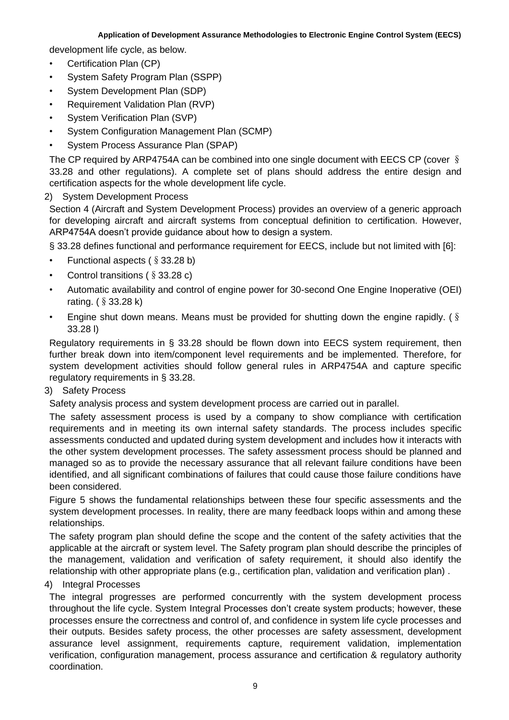development life cycle, as below.

- Certification Plan (CP)
- System Safety Program Plan (SSPP)
- System Development Plan (SDP)
- Requirement Validation Plan (RVP)
- System Verification Plan (SVP)
- System Configuration Management Plan (SCMP)
- System Process Assurance Plan (SPAP)

The CP required by ARP4754A can be combined into one single document with EECS CP (cover § 33.28 and other regulations). A complete set of plans should address the entire design and certification aspects for the whole development life cycle.

#### 2) System Development Process

Section 4 (Aircraft and System Development Process) provides an overview of a generic approach for developing aircraft and aircraft systems from conceptual definition to certification. However, ARP4754A doesn't provide guidance about how to design a system.

§ 33.28 defines functional and performance requirement for EECS, include but not limited with [6]:

- Functional aspects  $(\S 33.28 b)$
- Control transitions ( $\S$  33.28 c)
- Automatic availability and control of engine power for 30-second One Engine Inoperative (OEI) rating. (§33.28 k)
- Engine shut down means. Means must be provided for shutting down the engine rapidly. ( $\S$ 33.28 l)

Regulatory requirements in § 33.28 should be flown down into EECS system requirement, then further break down into item/component level requirements and be implemented. Therefore, for system development activities should follow general rules in ARP4754A and capture specific regulatory requirements in § 33.28.

3) Safety Process

Safety analysis process and system development process are carried out in parallel.

The safety assessment process is used by a company to show compliance with certification requirements and in meeting its own internal safety standards. The process includes specific assessments conducted and updated during system development and includes how it interacts with the other system development processes. The safety assessment process should be planned and managed so as to provide the necessary assurance that all relevant failure conditions have been identified, and all significant combinations of failures that could cause those failure conditions have been considered.

Figure 5 shows the fundamental relationships between these four specific assessments and the system development processes. In reality, there are many feedback loops within and among these relationships.

The safety program plan should define the scope and the content of the safety activities that the applicable at the aircraft or system level. The Safety program plan should describe the principles of the management, validation and verification of safety requirement, it should also identify the relationship with other appropriate plans (e.g., certification plan, validation and verification plan) .

### 4) Integral Processes

The integral progresses are performed concurrently with the system development process throughout the life cycle. System Integral Processes don't create system products; however, these processes ensure the correctness and control of, and confidence in system life cycle processes and their outputs. Besides safety process, the other processes are safety assessment, development assurance level assignment, requirements capture, requirement validation, implementation verification, configuration management, process assurance and certification & regulatory authority coordination.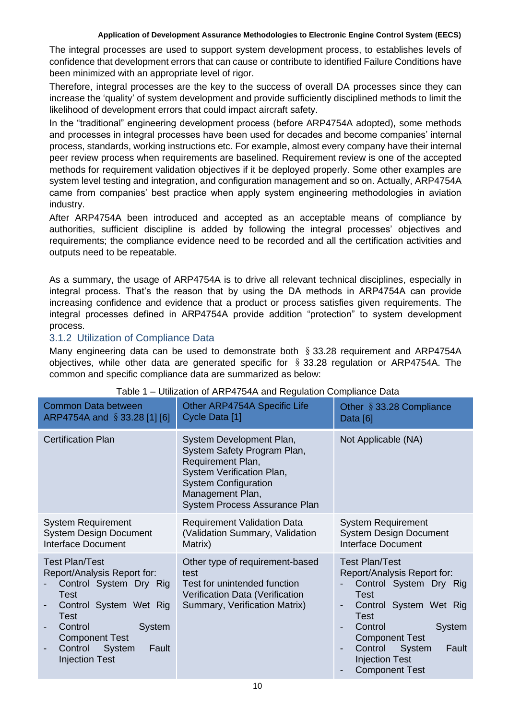The integral processes are used to support system development process, to establishes levels of confidence that development errors that can cause or contribute to identified Failure Conditions have been minimized with an appropriate level of rigor.

Therefore, integral processes are the key to the success of overall DA processes since they can increase the 'quality' of system development and provide sufficiently disciplined methods to limit the likelihood of development errors that could impact aircraft safety.

In the "traditional" engineering development process (before ARP4754A adopted), some methods and processes in integral processes have been used for decades and become companies' internal process, standards, working instructions etc. For example, almost every company have their internal peer review process when requirements are baselined. Requirement review is one of the accepted methods for requirement validation objectives if it be deployed properly. Some other examples are system level testing and integration, and configuration management and so on. Actually, ARP4754A came from companies' best practice when apply system engineering methodologies in aviation industry.

After ARP4754A been introduced and accepted as an acceptable means of compliance by authorities, sufficient discipline is added by following the integral processes' objectives and requirements; the compliance evidence need to be recorded and all the certification activities and outputs need to be repeatable.

As a summary, the usage of ARP4754A is to drive all relevant technical disciplines, especially in integral process. That's the reason that by using the DA methods in ARP4754A can provide increasing confidence and evidence that a product or process satisfies given requirements. The integral processes defined in ARP4754A provide addition "protection" to system development process.

## 3.1.2 Utilization of Compliance Data

Many engineering data can be used to demonstrate both § 33.28 requirement and ARP4754A objectives, while other data are generated specific for  $\S$  33.28 regulation or ARP4754A. The common and specific compliance data are summarized as below:

| <b>Common Data between</b>                                                                                                                                                                                                           | Other ARP4754A Specific Life                                                                                                                                                                  | Other § 33.28 Compliance                                                                                                                                                                                                                                      |
|--------------------------------------------------------------------------------------------------------------------------------------------------------------------------------------------------------------------------------------|-----------------------------------------------------------------------------------------------------------------------------------------------------------------------------------------------|---------------------------------------------------------------------------------------------------------------------------------------------------------------------------------------------------------------------------------------------------------------|
| ARP4754A and §33.28 [1] [6]                                                                                                                                                                                                          | Cycle Data [1]                                                                                                                                                                                | Data [6]                                                                                                                                                                                                                                                      |
| <b>Certification Plan</b>                                                                                                                                                                                                            | System Development Plan,<br>System Safety Program Plan,<br>Requirement Plan,<br>System Verification Plan,<br><b>System Configuration</b><br>Management Plan,<br>System Process Assurance Plan | Not Applicable (NA)                                                                                                                                                                                                                                           |
| <b>System Requirement</b>                                                                                                                                                                                                            | <b>Requirement Validation Data</b>                                                                                                                                                            | <b>System Requirement</b>                                                                                                                                                                                                                                     |
| <b>System Design Document</b>                                                                                                                                                                                                        | (Validation Summary, Validation                                                                                                                                                               | <b>System Design Document</b>                                                                                                                                                                                                                                 |
| Interface Document                                                                                                                                                                                                                   | Matrix)                                                                                                                                                                                       | Interface Document                                                                                                                                                                                                                                            |
| <b>Test Plan/Test</b><br>Report/Analysis Report for:<br>Control System Dry Rig<br>Test<br>Control System Wet Rig<br><b>Test</b><br>Control<br>System<br><b>Component Test</b><br>Control<br>System<br>Fault<br><b>Injection Test</b> | Other type of requirement-based<br>test<br>Test for unintended function<br>Verification Data (Verification<br>Summary, Verification Matrix)                                                   | <b>Test Plan/Test</b><br>Report/Analysis Report for:<br>Control System Dry Rig<br>Test<br>Control System Wet Rig<br><b>Test</b><br>Control<br>System<br><b>Component Test</b><br>Control<br>System<br>Fault<br><b>Injection Test</b><br><b>Component Test</b> |

#### Table 1 – Utilization of ARP4754A and Regulation Compliance Data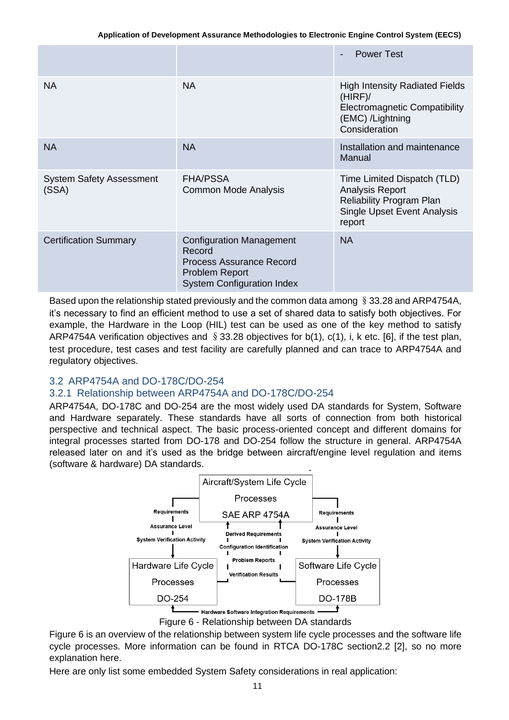|                                          |                                                                                                                                            | <b>Power Test</b><br>$\blacksquare$                                                                                                      |
|------------------------------------------|--------------------------------------------------------------------------------------------------------------------------------------------|------------------------------------------------------------------------------------------------------------------------------------------|
| <b>NA</b>                                | <b>NA</b>                                                                                                                                  | <b>High Intensity Radiated Fields</b><br>(HIRF)<br><b>Electromagnetic Compatibility</b><br>(EMC) /Lightning<br>Consideration             |
| <b>NA</b>                                | <b>NA</b>                                                                                                                                  | Installation and maintenance<br>Manual                                                                                                   |
| <b>System Safety Assessment</b><br>(SSA) | <b>FHA/PSSA</b><br>Common Mode Analysis                                                                                                    | Time Limited Dispatch (TLD)<br><b>Analysis Report</b><br><b>Reliability Program Plan</b><br><b>Single Upset Event Analysis</b><br>report |
| <b>Certification Summary</b>             | <b>Configuration Management</b><br>Record<br><b>Process Assurance Record</b><br><b>Problem Report</b><br><b>System Configuration Index</b> | <b>NA</b>                                                                                                                                |

Based upon the relationship stated previously and the common data among  $\S 33.28$  and ARP4754A, it's necessary to find an efficient method to use a set of shared data to satisfy both objectives. For example, the Hardware in the Loop (HIL) test can be used as one of the key method to satisfy ARP4754A verification objectives and  $\S 33.28$  objectives for b(1), c(1), i, k etc. [6], if the test plan, test procedure, test cases and test facility are carefully planned and can trace to ARP4754A and regulatory objectives.

## 3.2 ARP4754A and DO-178C/DO-254

## 3.2.1 Relationship between ARP4754A and DO-178C/DO-254

ARP4754A, DO-178C and DO-254 are the most widely used DA standards for System, Software and Hardware separately. These standards have all sorts of connection from both historical perspective and technical aspect. The basic process-oriented concept and different domains for integral processes started from DO-178 and DO-254 follow the structure in general. ARP4754A released later on and it's used as the bridge between aircraft/engine level regulation and items (software & hardware) DA standards.



Figure 6 - Relationship between DA standards

Figure 6 is an overview of the relationship between system life cycle processes and the software life cycle processes. More information can be found in RTCA DO-178C section2.2 [2], so no more explanation here.

Here are only list some embedded System Safety considerations in real application: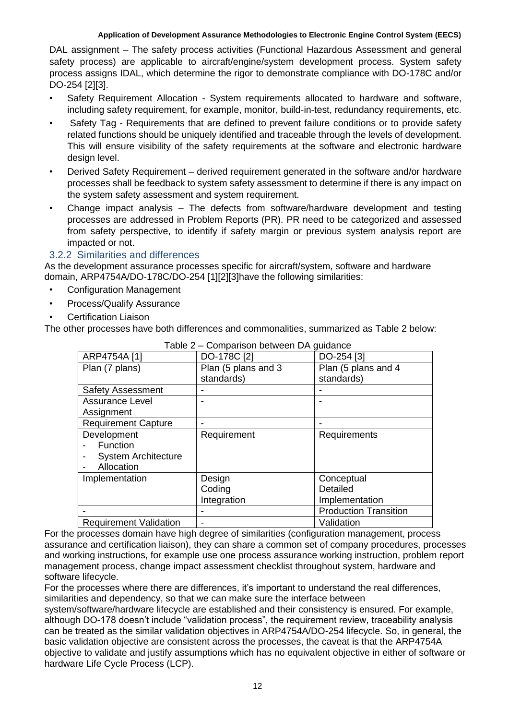DAL assignment – The safety process activities (Functional Hazardous Assessment and general safety process) are applicable to aircraft/engine/system development process. System safety process assigns IDAL, which determine the rigor to demonstrate compliance with DO-178C and/or DO-254 [2][3].

- Safety Requirement Allocation System requirements allocated to hardware and software, including safety requirement, for example, monitor, build-in-test, redundancy requirements, etc.
- Safety Tag Requirements that are defined to prevent failure conditions or to provide safety related functions should be uniquely identified and traceable through the levels of development. This will ensure visibility of the safety requirements at the software and electronic hardware design level.
- Derived Safety Requirement derived requirement generated in the software and/or hardware processes shall be feedback to system safety assessment to determine if there is any impact on the system safety assessment and system requirement.
- Change impact analysis The defects from software/hardware development and testing processes are addressed in Problem Reports (PR). PR need to be categorized and assessed from safety perspective, to identify if safety margin or previous system analysis report are impacted or not.

### 3.2.2 Similarities and differences

As the development assurance processes specific for aircraft/system, software and hardware domain, ARP4754A/DO-178C/DO-254 [1][2][3]have the following similarities:

- Configuration Management
- Process/Qualify Assurance
- Certification Liaison

The other processes have both differences and commonalities, summarized as Table 2 below:

| $1$ able $2 -$ Comparison between DA guidance |                     |                              |
|-----------------------------------------------|---------------------|------------------------------|
| ARP4754A [1]                                  | DO-178C [2]         | DO-254 [3]                   |
| Plan (7 plans)                                | Plan (5 plans and 3 | Plan (5 plans and 4          |
|                                               | standards)          | standards)                   |
| <b>Safety Assessment</b>                      |                     |                              |
| <b>Assurance Level</b>                        |                     |                              |
| Assignment                                    |                     |                              |
| <b>Requirement Capture</b>                    |                     |                              |
| Development                                   | Requirement         | Requirements                 |
| Function                                      |                     |                              |
| <b>System Architecture</b>                    |                     |                              |
| Allocation                                    |                     |                              |
| Implementation                                | Design              | Conceptual                   |
|                                               | Coding              | Detailed                     |
|                                               | Integration         | Implementation               |
|                                               |                     | <b>Production Transition</b> |
| <b>Requirement Validation</b>                 |                     | Validation                   |

Table 2 – Comparison between DA guidance

For the processes domain have high degree of similarities (configuration management, process assurance and certification liaison), they can share a common set of company procedures, processes and working instructions, for example use one process assurance working instruction, problem report management process, change impact assessment checklist throughout system, hardware and software lifecycle.

For the processes where there are differences, it's important to understand the real differences, similarities and dependency, so that we can make sure the interface between

system/software/hardware lifecycle are established and their consistency is ensured. For example, although DO-178 doesn't include "validation process", the requirement review, traceability analysis can be treated as the similar validation objectives in ARP4754A/DO-254 lifecycle. So, in general, the basic validation objective are consistent across the processes, the caveat is that the ARP4754A objective to validate and justify assumptions which has no equivalent objective in either of software or hardware Life Cycle Process (LCP).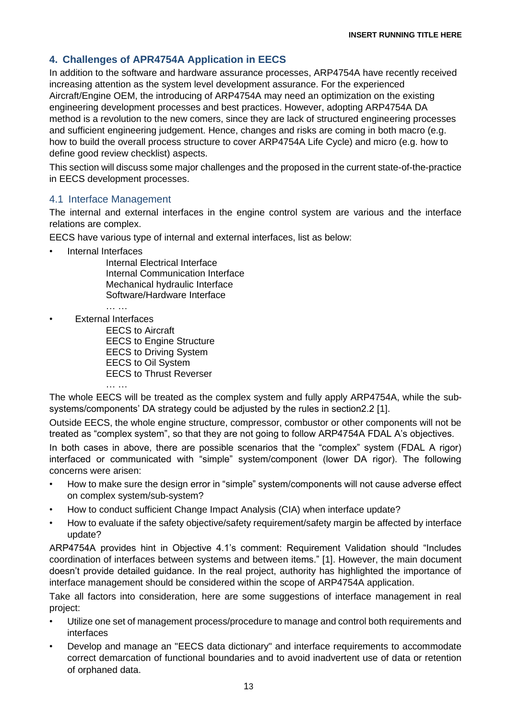# **4. Challenges of APR4754A Application in EECS**

In addition to the software and hardware assurance processes, ARP4754A have recently received increasing attention as the system level development assurance. For the experienced Aircraft/Engine OEM, the introducing of ARP4754A may need an optimization on the existing engineering development processes and best practices. However, adopting ARP4754A DA method is a revolution to the new comers, since they are lack of structured engineering processes and sufficient engineering judgement. Hence, changes and risks are coming in both macro (e.g. how to build the overall process structure to cover ARP4754A Life Cycle) and micro (e.g. how to define good review checklist) aspects.

This section will discuss some major challenges and the proposed in the current state-of-the-practice in EECS development processes.

#### 4.1 Interface Management

The internal and external interfaces in the engine control system are various and the interface relations are complex.

EECS have various type of internal and external interfaces, list as below:

• Internal Interfaces

Internal Electrical Interface Internal Communication Interface Mechanical hydraulic Interface Software/Hardware Interface

… …

… …

• External Interfaces

EECS to Aircraft EECS to Engine Structure EECS to Driving System EECS to Oil System EECS to Thrust Reverser

The whole EECS will be treated as the complex system and fully apply ARP4754A, while the subsystems/components' DA strategy could be adjusted by the rules in section2.2 [1].

Outside EECS, the whole engine structure, compressor, combustor or other components will not be treated as "complex system", so that they are not going to follow ARP4754A FDAL A's objectives.

In both cases in above, there are possible scenarios that the "complex" system (FDAL A rigor) interfaced or communicated with "simple" system/component (lower DA rigor). The following concerns were arisen:

- How to make sure the design error in "simple" system/components will not cause adverse effect on complex system/sub-system?
- How to conduct sufficient Change Impact Analysis (CIA) when interface update?
- How to evaluate if the safety objective/safety requirement/safety margin be affected by interface update?

ARP4754A provides hint in Objective 4.1's comment: Requirement Validation should "Includes coordination of interfaces between systems and between items." [1]. However, the main document doesn't provide detailed guidance. In the real project, authority has highlighted the importance of interface management should be considered within the scope of ARP4754A application.

Take all factors into consideration, here are some suggestions of interface management in real project:

- Utilize one set of management process/procedure to manage and control both requirements and interfaces
- Develop and manage an "EECS data dictionary" and interface requirements to accommodate correct demarcation of functional boundaries and to avoid inadvertent use of data or retention of orphaned data.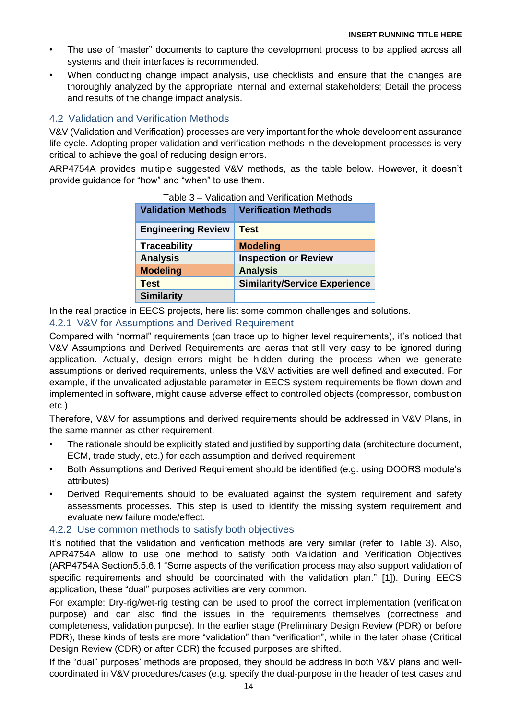- The use of "master" documents to capture the development process to be applied across all systems and their interfaces is recommended.
- When conducting change impact analysis, use checklists and ensure that the changes are thoroughly analyzed by the appropriate internal and external stakeholders; Detail the process and results of the change impact analysis.

# 4.2 Validation and Verification Methods

V&V (Validation and Verification) processes are very important for the whole development assurance life cycle. Adopting proper validation and verification methods in the development processes is very critical to achieve the goal of reducing design errors.

ARP4754A provides multiple suggested V&V methods, as the table below. However, it doesn't provide guidance for "how" and "when" to use them.

| <b>Validation Methods</b> | <b>Verification Methods</b>          |
|---------------------------|--------------------------------------|
| <b>Engineering Review</b> | <b>Test</b>                          |
| <b>Traceability</b>       | <b>Modeling</b>                      |
| <b>Analysis</b>           | <b>Inspection or Review</b>          |
| <b>Modeling</b>           | <b>Analysis</b>                      |
| <b>Test</b>               | <b>Similarity/Service Experience</b> |
| <b>Similarity</b>         |                                      |

| Table 3 – Validation and Verification Methods |  |
|-----------------------------------------------|--|
|-----------------------------------------------|--|

In the real practice in EECS projects, here list some common challenges and solutions. 4.2.1 V&V for Assumptions and Derived Requirement

Compared with "normal" requirements (can trace up to higher level requirements), it's noticed that V&V Assumptions and Derived Requirements are aeras that still very easy to be ignored during application. Actually, design errors might be hidden during the process when we generate assumptions or derived requirements, unless the V&V activities are well defined and executed. For example, if the unvalidated adjustable parameter in EECS system requirements be flown down and implemented in software, might cause adverse effect to controlled objects (compressor, combustion etc.)

Therefore, V&V for assumptions and derived requirements should be addressed in V&V Plans, in the same manner as other requirement.

- The rationale should be explicitly stated and justified by supporting data (architecture document, ECM, trade study, etc.) for each assumption and derived requirement
- Both Assumptions and Derived Requirement should be identified (e.g. using DOORS module's attributes)
- Derived Requirements should to be evaluated against the system requirement and safety assessments processes. This step is used to identify the missing system requirement and evaluate new failure mode/effect.

#### 4.2.2 Use common methods to satisfy both objectives

It's notified that the validation and verification methods are very similar (refer to Table 3). Also, APR4754A allow to use one method to satisfy both Validation and Verification Objectives (ARP4754A Section5.5.6.1 "Some aspects of the verification process may also support validation of specific requirements and should be coordinated with the validation plan." [1]). During EECS application, these "dual" purposes activities are very common.

For example: Dry-rig/wet-rig testing can be used to proof the correct implementation (verification purpose) and can also find the issues in the requirements themselves (correctness and completeness, validation purpose). In the earlier stage (Preliminary Design Review (PDR) or before PDR), these kinds of tests are more "validation" than "verification", while in the later phase (Critical Design Review (CDR) or after CDR) the focused purposes are shifted.

If the "dual" purposes' methods are proposed, they should be address in both V&V plans and wellcoordinated in V&V procedures/cases (e.g. specify the dual-purpose in the header of test cases and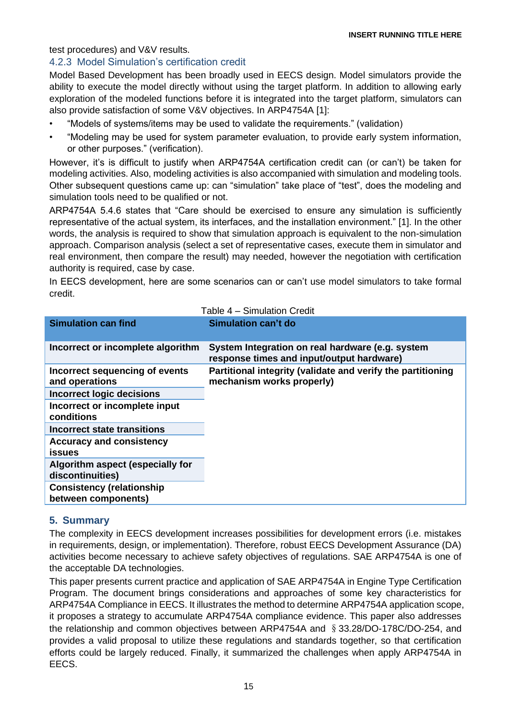### test procedures) and V&V results.

## 4.2.3 Model Simulation's certification credit

Model Based Development has been broadly used in EECS design. Model simulators provide the ability to execute the model directly without using the target platform. In addition to allowing early exploration of the modeled functions before it is integrated into the target platform, simulators can also provide satisfaction of some V&V objectives. In ARP4754A [1]:

- "Models of systems/items may be used to validate the requirements." (validation)
- "Modeling may be used for system parameter evaluation, to provide early system information, or other purposes." (verification).

However, it's is difficult to justify when ARP4754A certification credit can (or can't) be taken for modeling activities. Also, modeling activities is also accompanied with simulation and modeling tools. Other subsequent questions came up: can "simulation" take place of "test", does the modeling and simulation tools need to be qualified or not.

ARP4754A 5.4.6 states that "Care should be exercised to ensure any simulation is sufficiently representative of the actual system, its interfaces, and the installation environment." [1]. In the other words, the analysis is required to show that simulation approach is equivalent to the non-simulation approach. Comparison analysis (select a set of representative cases, execute them in simulator and real environment, then compare the result) may needed, however the negotiation with certification authority is required, case by case.

In EECS development, here are some scenarios can or can't use model simulators to take formal credit.

| Table 4 – Simulation Credit                             |                                                                                               |  |
|---------------------------------------------------------|-----------------------------------------------------------------------------------------------|--|
| <b>Simulation can find</b>                              | Simulation can't do                                                                           |  |
| Incorrect or incomplete algorithm                       | System Integration on real hardware (e.g. system<br>response times and input/output hardware) |  |
| Incorrect sequencing of events<br>and operations        | Partitional integrity (validate and verify the partitioning<br>mechanism works properly)      |  |
| <b>Incorrect logic decisions</b>                        |                                                                                               |  |
| Incorrect or incomplete input<br>conditions             |                                                                                               |  |
| Incorrect state transitions                             |                                                                                               |  |
| <b>Accuracy and consistency</b><br>issues               |                                                                                               |  |
| Algorithm aspect (especially for<br>discontinuities)    |                                                                                               |  |
| <b>Consistency (relationship</b><br>between components) |                                                                                               |  |

## **5. Summary**

The complexity in EECS development increases possibilities for development errors (i.e. mistakes in requirements, design, or implementation). Therefore, robust EECS Development Assurance (DA) activities become necessary to achieve safety objectives of regulations. SAE ARP4754A is one of the acceptable DA technologies.

This paper presents current practice and application of SAE ARP4754A in Engine Type Certification Program. The document brings considerations and approaches of some key characteristics for ARP4754A Compliance in EECS. It illustrates the method to determine ARP4754A application scope, it proposes a strategy to accumulate ARP4754A compliance evidence. This paper also addresses the relationship and common objectives between ARP4754A and §33.28/DO-178C/DO-254, and provides a valid proposal to utilize these regulations and standards together, so that certification efforts could be largely reduced. Finally, it summarized the challenges when apply ARP4754A in EECS.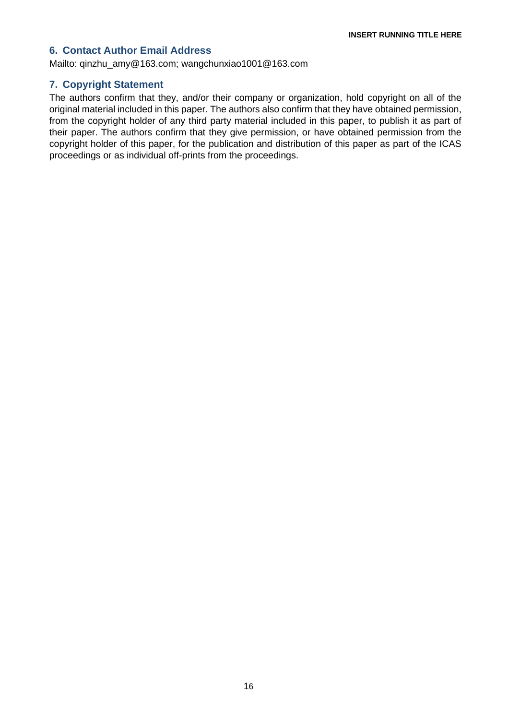## **6. Contact Author Email Address**

Mailto: [qinzhu\\_amy@163.com;](mailto:qinzhu_amy@163.com) wangchunxiao1001@163.com

### **7. Copyright Statement**

The authors confirm that they, and/or their company or organization, hold copyright on all of the original material included in this paper. The authors also confirm that they have obtained permission, from the copyright holder of any third party material included in this paper, to publish it as part of their paper. The authors confirm that they give permission, or have obtained permission from the copyright holder of this paper, for the publication and distribution of this paper as part of the ICAS proceedings or as individual off-prints from the proceedings.